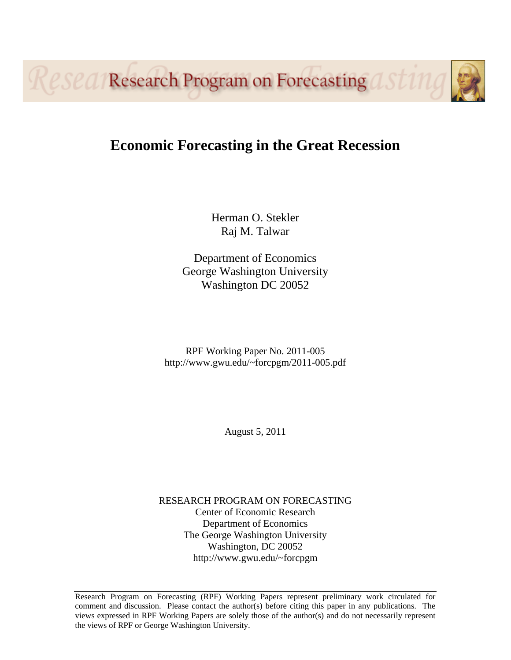Reseal Research Program on Forecasting

# **Economic Forecasting in the Great Recession**

Herman O. Stekler Raj M. Talwar

Department of Economics George Washington University Washington DC 20052

RPF Working Paper No. 2011-005 http://www.gwu.edu/~forcpgm/2011-005.pdf

August 5, 2011

RESEARCH PROGRAM ON FORECASTING Center of Economic Research Department of Economics The George Washington University Washington, DC 20052 http://www.gwu.edu/~forcpgm

Research Program on Forecasting (RPF) Working Papers represent preliminary work circulated for comment and discussion. Please contact the author(s) before citing this paper in any publications. The views expressed in RPF Working Papers are solely those of the author(s) and do not necessarily represent the views of RPF or George Washington University.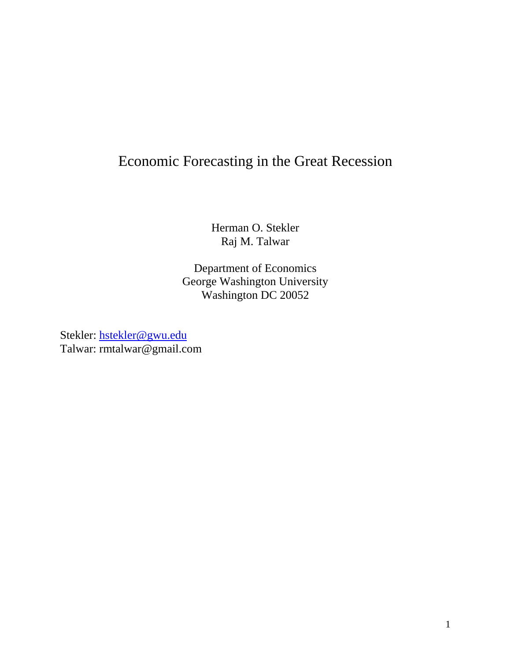# Economic Forecasting in the Great Recession

Herman O. Stekler Raj M. Talwar

Department of Economics George Washington University Washington DC 20052

Stekler: hstekler@gwu.edu Talwar: rmtalwar@gmail.com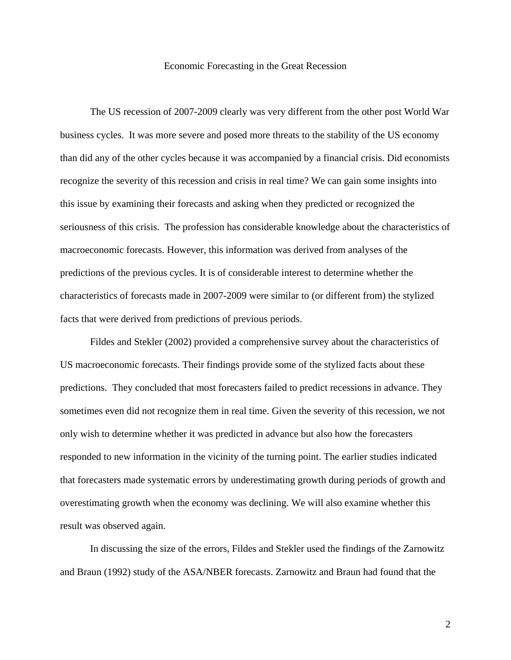## Economic Forecasting in the Great Recession

The US recession of 2007-2009 clearly was very different from the other post World War business cycles. It was more severe and posed more threats to the stability of the US economy than did any of the other cycles because it was accompanied by a financial crisis. Did economists recognize the severity of this recession and crisis in real time? We can gain some insights into this issue by examining their forecasts and asking when they predicted or recognized the seriousness of this crisis. The profession has considerable knowledge about the characteristics of macroeconomic forecasts. However, this information was derived from analyses of the predictions of the previous cycles. It is of considerable interest to determine whether the characteristics of forecasts made in 2007-2009 were similar to (or different from) the stylized facts that were derived from predictions of previous periods.

Fildes and Stekler (2002) provided a comprehensive survey about the characteristics of US macroeconomic forecasts. Their findings provide some of the stylized facts about these predictions. They concluded that most forecasters failed to predict recessions in advance. They sometimes even did not recognize them in real time. Given the severity of this recession, we not only wish to determine whether it was predicted in advance but also how the forecasters responded to new information in the vicinity of the turning point. The earlier studies indicated that forecasters made systematic errors by underestimating growth during periods of growth and overestimating growth when the economy was declining. We will also examine whether this result was observed again.

In discussing the size of the errors, Fildes and Stekler used the findings of the Zarnowitz and Braun (1992) study of the ASA/NBER forecasts. Zarnowitz and Braun had found that the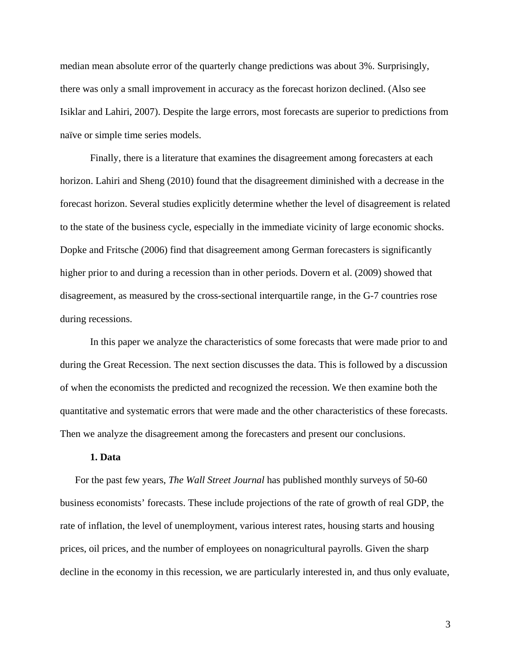median mean absolute error of the quarterly change predictions was about 3%. Surprisingly, there was only a small improvement in accuracy as the forecast horizon declined. (Also see Isiklar and Lahiri, 2007). Despite the large errors, most forecasts are superior to predictions from naïve or simple time series models.

Finally, there is a literature that examines the disagreement among forecasters at each horizon. Lahiri and Sheng (2010) found that the disagreement diminished with a decrease in the forecast horizon. Several studies explicitly determine whether the level of disagreement is related to the state of the business cycle, especially in the immediate vicinity of large economic shocks. Dopke and Fritsche (2006) find that disagreement among German forecasters is significantly higher prior to and during a recession than in other periods. Dovern et al. (2009) showed that disagreement, as measured by the cross-sectional interquartile range, in the G-7 countries rose during recessions.

In this paper we analyze the characteristics of some forecasts that were made prior to and during the Great Recession. The next section discusses the data. This is followed by a discussion of when the economists the predicted and recognized the recession. We then examine both the quantitative and systematic errors that were made and the other characteristics of these forecasts. Then we analyze the disagreement among the forecasters and present our conclusions.

#### **1. Data**

For the past few years, *The Wall Street Journal* has published monthly surveys of 50-60 business economists' forecasts. These include projections of the rate of growth of real GDP, the rate of inflation, the level of unemployment, various interest rates, housing starts and housing prices, oil prices, and the number of employees on nonagricultural payrolls. Given the sharp decline in the economy in this recession, we are particularly interested in, and thus only evaluate,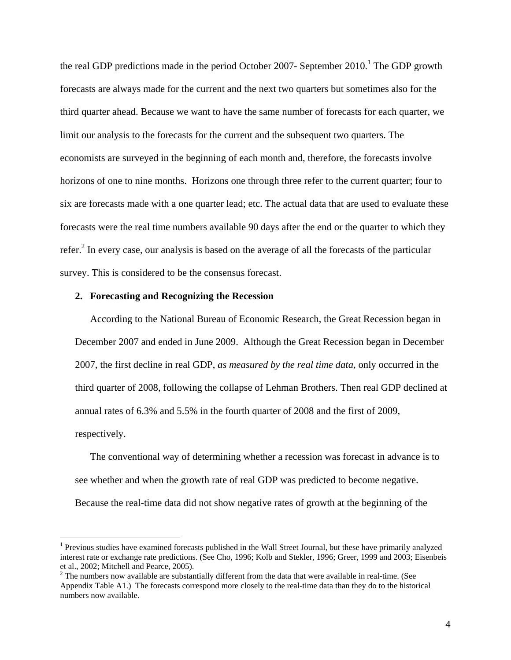the real GDP predictions made in the period October 2007- September  $2010$ .<sup>1</sup> The GDP growth forecasts are always made for the current and the next two quarters but sometimes also for the third quarter ahead. Because we want to have the same number of forecasts for each quarter, we limit our analysis to the forecasts for the current and the subsequent two quarters. The economists are surveyed in the beginning of each month and, therefore, the forecasts involve horizons of one to nine months. Horizons one through three refer to the current quarter; four to six are forecasts made with a one quarter lead; etc. The actual data that are used to evaluate these forecasts were the real time numbers available 90 days after the end or the quarter to which they refer.<sup>2</sup> In every case, our analysis is based on the average of all the forecasts of the particular survey. This is considered to be the consensus forecast.

#### **2. Forecasting and Recognizing the Recession**

 $\overline{a}$ 

According to the National Bureau of Economic Research, the Great Recession began in December 2007 and ended in June 2009. Although the Great Recession began in December 2007, the first decline in real GDP, *as measured by the real time data*, only occurred in the third quarter of 2008, following the collapse of Lehman Brothers. Then real GDP declined at annual rates of 6.3% and 5.5% in the fourth quarter of 2008 and the first of 2009, respectively.

The conventional way of determining whether a recession was forecast in advance is to see whether and when the growth rate of real GDP was predicted to become negative. Because the real-time data did not show negative rates of growth at the beginning of the

<sup>&</sup>lt;sup>1</sup> Previous studies have examined forecasts published in the Wall Street Journal, but these have primarily analyzed interest rate or exchange rate predictions. (See Cho, 1996; Kolb and Stekler, 1996; Greer, 1999 and 2003; Eisenbeis et al., 2002; Mitchell and Pearce, 2005).

 $2^2$  The numbers now available are substantially different from the data that were available in real-time. (See Appendix Table A1.) The forecasts correspond more closely to the real-time data than they do to the historical numbers now available.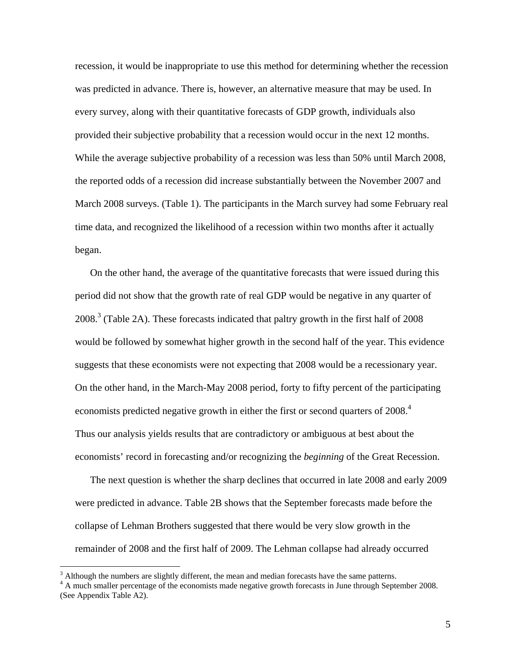recession, it would be inappropriate to use this method for determining whether the recession was predicted in advance. There is, however, an alternative measure that may be used. In every survey, along with their quantitative forecasts of GDP growth, individuals also provided their subjective probability that a recession would occur in the next 12 months. While the average subjective probability of a recession was less than 50% until March 2008, the reported odds of a recession did increase substantially between the November 2007 and March 2008 surveys. (Table 1). The participants in the March survey had some February real time data, and recognized the likelihood of a recession within two months after it actually began.

On the other hand, the average of the quantitative forecasts that were issued during this period did not show that the growth rate of real GDP would be negative in any quarter of 2008.<sup>3</sup> (Table 2A). These forecasts indicated that paltry growth in the first half of 2008 would be followed by somewhat higher growth in the second half of the year. This evidence suggests that these economists were not expecting that 2008 would be a recessionary year. On the other hand, in the March-May 2008 period, forty to fifty percent of the participating economists predicted negative growth in either the first or second quarters of 2008.<sup>4</sup> Thus our analysis yields results that are contradictory or ambiguous at best about the economists' record in forecasting and/or recognizing the *beginning* of the Great Recession.

The next question is whether the sharp declines that occurred in late 2008 and early 2009 were predicted in advance. Table 2B shows that the September forecasts made before the collapse of Lehman Brothers suggested that there would be very slow growth in the remainder of 2008 and the first half of 2009. The Lehman collapse had already occurred

 $\overline{a}$ 

 $3$  Although the numbers are slightly different, the mean and median forecasts have the same patterns.

<sup>&</sup>lt;sup>4</sup> A much smaller percentage of the economists made negative growth forecasts in June through September 2008. (See Appendix Table A2).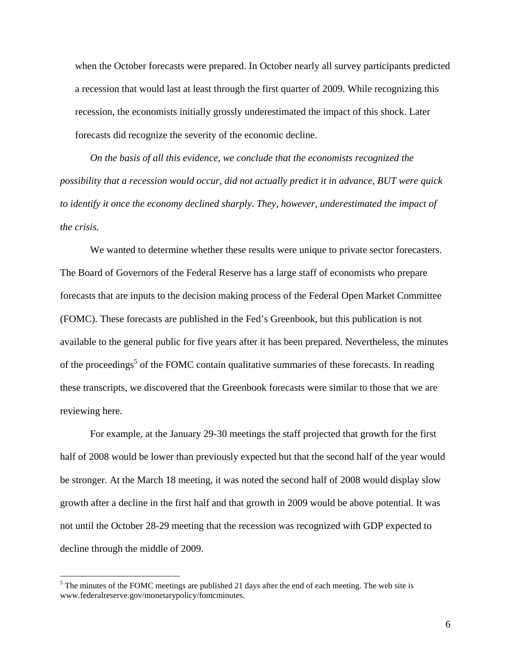when the October forecasts were prepared. In October nearly all survey participants predicted a recession that would last at least through the first quarter of 2009. While recognizing this recession, the economists initially grossly underestimated the impact of this shock. Later forecasts did recognize the severity of the economic decline.

*On the basis of all this evidence, we conclude that the economists recognized the possibility that a recession would occur, did not actually predict it in advance, BUT were quick to identify it once the economy declined sharply*. *They, however, underestimated the impact of the crisis.* 

We wanted to determine whether these results were unique to private sector forecasters. The Board of Governors of the Federal Reserve has a large staff of economists who prepare forecasts that are inputs to the decision making process of the Federal Open Market Committee (FOMC). These forecasts are published in the Fed's Greenbook, but this publication is not available to the general public for five years after it has been prepared. Nevertheless, the minutes of the proceedings<sup>5</sup> of the FOMC contain qualitative summaries of these forecasts. In reading these transcripts, we discovered that the Greenbook forecasts were similar to those that we are reviewing here.

For example, at the January 29-30 meetings the staff projected that growth for the first half of 2008 would be lower than previously expected but that the second half of the year would be stronger. At the March 18 meeting, it was noted the second half of 2008 would display slow growth after a decline in the first half and that growth in 2009 would be above potential. It was not until the October 28-29 meeting that the recession was recognized with GDP expected to decline through the middle of 2009.

 $<sup>5</sup>$  The minutes of the FOMC meetings are published 21 days after the end of each meeting. The web site is</sup> www.federalreserve.gov/monetarypolicy/fomcminutes.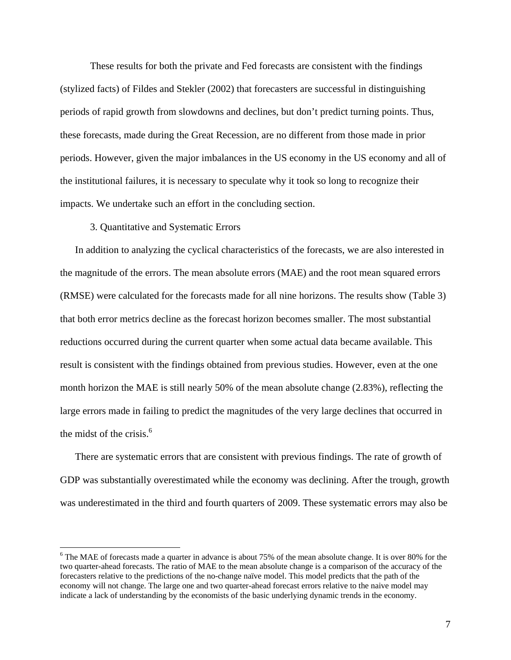These results for both the private and Fed forecasts are consistent with the findings (stylized facts) of Fildes and Stekler (2002) that forecasters are successful in distinguishing periods of rapid growth from slowdowns and declines, but don't predict turning points. Thus, these forecasts, made during the Great Recession, are no different from those made in prior periods. However, given the major imbalances in the US economy in the US economy and all of the institutional failures, it is necessary to speculate why it took so long to recognize their impacts. We undertake such an effort in the concluding section.

#### 3. Quantitative and Systematic Errors

1

In addition to analyzing the cyclical characteristics of the forecasts, we are also interested in the magnitude of the errors. The mean absolute errors (MAE) and the root mean squared errors (RMSE) were calculated for the forecasts made for all nine horizons. The results show (Table 3) that both error metrics decline as the forecast horizon becomes smaller. The most substantial reductions occurred during the current quarter when some actual data became available. This result is consistent with the findings obtained from previous studies. However, even at the one month horizon the MAE is still nearly 50% of the mean absolute change (2.83%), reflecting the large errors made in failing to predict the magnitudes of the very large declines that occurred in the midst of the crisis.<sup>6</sup>

There are systematic errors that are consistent with previous findings. The rate of growth of GDP was substantially overestimated while the economy was declining. After the trough, growth was underestimated in the third and fourth quarters of 2009. These systematic errors may also be

<sup>&</sup>lt;sup>6</sup> The MAE of forecasts made a quarter in advance is about 75% of the mean absolute change. It is over 80% for the two quarter-ahead forecasts. The ratio of MAE to the mean absolute change is a comparison of the accuracy of the forecasters relative to the predictions of the no-change naïve model. This model predicts that the path of the economy will not change. The large one and two quarter-ahead forecast errors relative to the naive model may indicate a lack of understanding by the economists of the basic underlying dynamic trends in the economy.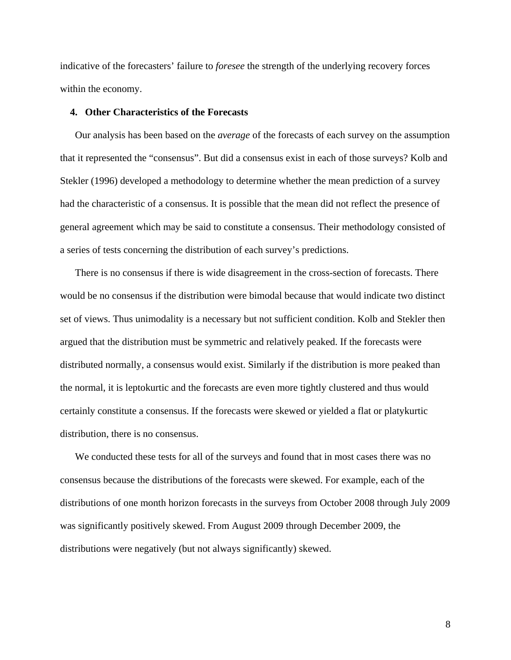indicative of the forecasters' failure to *foresee* the strength of the underlying recovery forces within the economy.

#### **4. Other Characteristics of the Forecasts**

Our analysis has been based on the *average* of the forecasts of each survey on the assumption that it represented the "consensus". But did a consensus exist in each of those surveys? Kolb and Stekler (1996) developed a methodology to determine whether the mean prediction of a survey had the characteristic of a consensus. It is possible that the mean did not reflect the presence of general agreement which may be said to constitute a consensus. Their methodology consisted of a series of tests concerning the distribution of each survey's predictions.

There is no consensus if there is wide disagreement in the cross-section of forecasts. There would be no consensus if the distribution were bimodal because that would indicate two distinct set of views. Thus unimodality is a necessary but not sufficient condition. Kolb and Stekler then argued that the distribution must be symmetric and relatively peaked. If the forecasts were distributed normally, a consensus would exist. Similarly if the distribution is more peaked than the normal, it is leptokurtic and the forecasts are even more tightly clustered and thus would certainly constitute a consensus. If the forecasts were skewed or yielded a flat or platykurtic distribution, there is no consensus.

We conducted these tests for all of the surveys and found that in most cases there was no consensus because the distributions of the forecasts were skewed. For example, each of the distributions of one month horizon forecasts in the surveys from October 2008 through July 2009 was significantly positively skewed. From August 2009 through December 2009, the distributions were negatively (but not always significantly) skewed.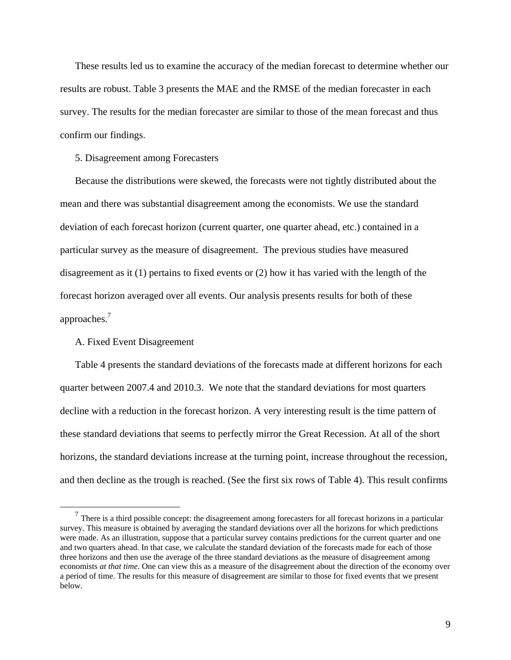These results led us to examine the accuracy of the median forecast to determine whether our results are robust. Table 3 presents the MAE and the RMSE of the median forecaster in each survey. The results for the median forecaster are similar to those of the mean forecast and thus confirm our findings.

#### 5. Disagreement among Forecasters

Because the distributions were skewed, the forecasts were not tightly distributed about the mean and there was substantial disagreement among the economists. We use the standard deviation of each forecast horizon (current quarter, one quarter ahead, etc.) contained in a particular survey as the measure of disagreement. The previous studies have measured disagreement as it (1) pertains to fixed events or (2) how it has varied with the length of the forecast horizon averaged over all events. Our analysis presents results for both of these approaches.<sup>7</sup>

#### A. Fixed Event Disagreement

Table 4 presents the standard deviations of the forecasts made at different horizons for each quarter between 2007.4 and 2010.3. We note that the standard deviations for most quarters decline with a reduction in the forecast horizon. A very interesting result is the time pattern of these standard deviations that seems to perfectly mirror the Great Recession. At all of the short horizons, the standard deviations increase at the turning point, increase throughout the recession, and then decline as the trough is reached. (See the first six rows of Table 4). This result confirms

 $<sup>7</sup>$  There is a third possible concept: the disagreement among forecasters for all forecast horizons in a particular</sup> survey. This measure is obtained by averaging the standard deviations over all the horizons for which predictions were made. As an illustration, suppose that a particular survey contains predictions for the current quarter and one and two quarters ahead. In that case, we calculate the standard deviation of the forecasts made for each of those three horizons and then use the average of the three standard deviations as the measure of disagreement among economists *at that time*. One can view this as a measure of the disagreement about the direction of the economy over a period of time. The results for this measure of disagreement are similar to those for fixed events that we present below.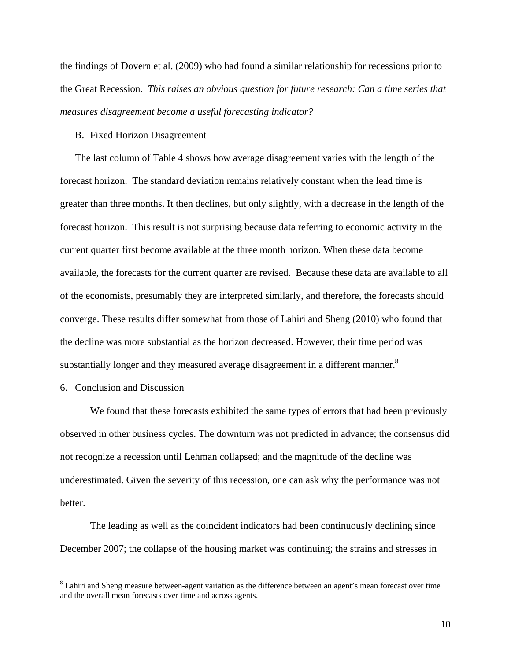the findings of Dovern et al. (2009) who had found a similar relationship for recessions prior to the Great Recession. *This raises an obvious question for future research: Can a time series that measures disagreement become a useful forecasting indicator?*

#### B. Fixed Horizon Disagreement

The last column of Table 4 shows how average disagreement varies with the length of the forecast horizon. The standard deviation remains relatively constant when the lead time is greater than three months. It then declines, but only slightly, with a decrease in the length of the forecast horizon. This result is not surprising because data referring to economic activity in the current quarter first become available at the three month horizon. When these data become available, the forecasts for the current quarter are revised. Because these data are available to all of the economists, presumably they are interpreted similarly, and therefore, the forecasts should converge. These results differ somewhat from those of Lahiri and Sheng (2010) who found that the decline was more substantial as the horizon decreased. However, their time period was substantially longer and they measured average disagreement in a different manner.<sup>8</sup>

## 6. Conclusion and Discussion

1

We found that these forecasts exhibited the same types of errors that had been previously observed in other business cycles. The downturn was not predicted in advance; the consensus did not recognize a recession until Lehman collapsed; and the magnitude of the decline was underestimated. Given the severity of this recession, one can ask why the performance was not better.

The leading as well as the coincident indicators had been continuously declining since December 2007; the collapse of the housing market was continuing; the strains and stresses in

 $8$  Lahiri and Sheng measure between-agent variation as the difference between an agent's mean forecast over time and the overall mean forecasts over time and across agents.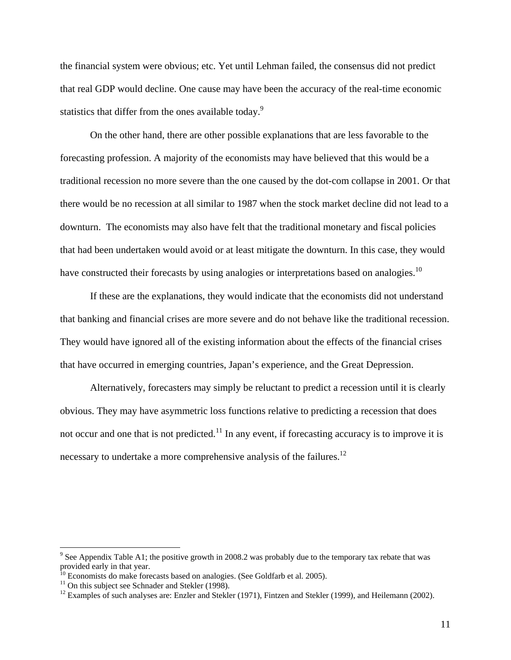the financial system were obvious; etc. Yet until Lehman failed, the consensus did not predict that real GDP would decline. One cause may have been the accuracy of the real-time economic statistics that differ from the ones available today.<sup>9</sup>

On the other hand, there are other possible explanations that are less favorable to the forecasting profession. A majority of the economists may have believed that this would be a traditional recession no more severe than the one caused by the dot-com collapse in 2001. Or that there would be no recession at all similar to 1987 when the stock market decline did not lead to a downturn. The economists may also have felt that the traditional monetary and fiscal policies that had been undertaken would avoid or at least mitigate the downturn. In this case, they would have constructed their forecasts by using analogies or interpretations based on analogies.<sup>10</sup>

If these are the explanations, they would indicate that the economists did not understand that banking and financial crises are more severe and do not behave like the traditional recession. They would have ignored all of the existing information about the effects of the financial crises that have occurred in emerging countries, Japan's experience, and the Great Depression.

Alternatively, forecasters may simply be reluctant to predict a recession until it is clearly obvious. They may have asymmetric loss functions relative to predicting a recession that does not occur and one that is not predicted.<sup>11</sup> In any event, if forecasting accuracy is to improve it is necessary to undertake a more comprehensive analysis of the failures.<sup>12</sup>

 $\overline{a}$ 

<sup>&</sup>lt;sup>9</sup> See Appendix Table A1; the positive growth in 2008.2 was probably due to the temporary tax rebate that was provided early in that year.

<sup>&</sup>lt;sup>10</sup> Economists do make forecasts based on analogies. (See Goldfarb et al. 2005). <sup>11</sup> On this subject see Schnader and Stekler (1998).

<sup>&</sup>lt;sup>12</sup> Examples of such analyses are: Enzler and Stekler (1971), Fintzen and Stekler (1999), and Heilemann (2002).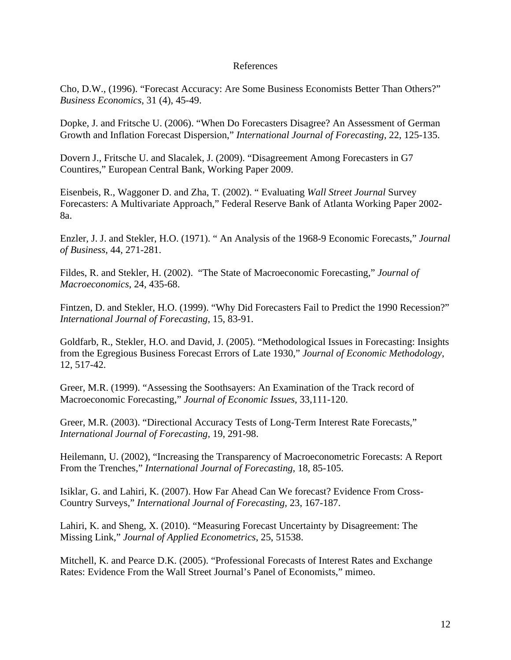## References

Cho, D.W., (1996). "Forecast Accuracy: Are Some Business Economists Better Than Others?" *Business Economics*, 31 (4), 45-49.

Dopke, J. and Fritsche U. (2006). "When Do Forecasters Disagree? An Assessment of German Growth and Inflation Forecast Dispersion," *International Journal of Forecasting*, 22, 125-135.

Dovern J., Fritsche U. and Slacalek, J. (2009). "Disagreement Among Forecasters in G7 Countires," European Central Bank, Working Paper 2009.

Eisenbeis, R., Waggoner D. and Zha, T. (2002). " Evaluating *Wall Street Journal* Survey Forecasters: A Multivariate Approach," Federal Reserve Bank of Atlanta Working Paper 2002- 8a.

Enzler, J. J. and Stekler, H.O. (1971). " An Analysis of the 1968-9 Economic Forecasts," *Journal of Business*, 44, 271-281.

Fildes, R. and Stekler, H. (2002). "The State of Macroeconomic Forecasting," *Journal of Macroeconomics*, 24, 435-68.

Fintzen, D. and Stekler, H.O. (1999). "Why Did Forecasters Fail to Predict the 1990 Recession?" *International Journal of Forecasting*, 15, 83-91.

Goldfarb, R., Stekler, H.O. and David, J. (2005). "Methodological Issues in Forecasting: Insights from the Egregious Business Forecast Errors of Late 1930," *Journal of Economic Methodology*, 12, 517-42.

Greer, M.R. (1999). "Assessing the Soothsayers: An Examination of the Track record of Macroeconomic Forecasting," *Journal of Economic Issues,* 33,111-120.

Greer, M.R. (2003). "Directional Accuracy Tests of Long-Term Interest Rate Forecasts," *International Journal of Forecasting*, 19, 291-98.

Heilemann, U. (2002), "Increasing the Transparency of Macroeconometric Forecasts: A Report From the Trenches," *International Journal of Forecasting*, 18, 85-105.

Isiklar, G. and Lahiri, K. (2007). How Far Ahead Can We forecast? Evidence From Cross-Country Surveys," *International Journal of Forecasting*, 23, 167-187.

Lahiri, K. and Sheng, X. (2010). "Measuring Forecast Uncertainty by Disagreement: The Missing Link," *Journal of Applied Econometrics*, 25, 51538.

Mitchell, K. and Pearce D.K. (2005). "Professional Forecasts of Interest Rates and Exchange Rates: Evidence From the Wall Street Journal's Panel of Economists," mimeo.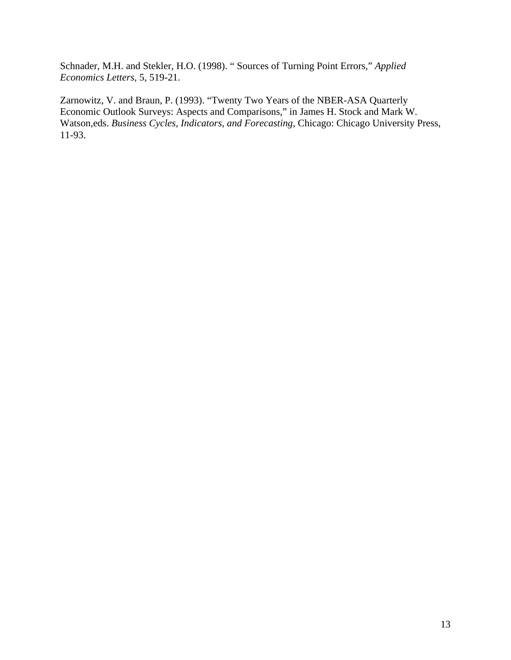Schnader, M.H. and Stekler, H.O. (1998). " Sources of Turning Point Errors," *Applied Economics Letters,* 5, 519-21.

Zarnowitz, V. and Braun, P. (1993). "Twenty Two Years of the NBER-ASA Quarterly Economic Outlook Surveys: Aspects and Comparisons," in James H. Stock and Mark W. Watson,eds. *Business Cycles, Indicators, and Forecasting*, Chicago: Chicago University Press, 11-93.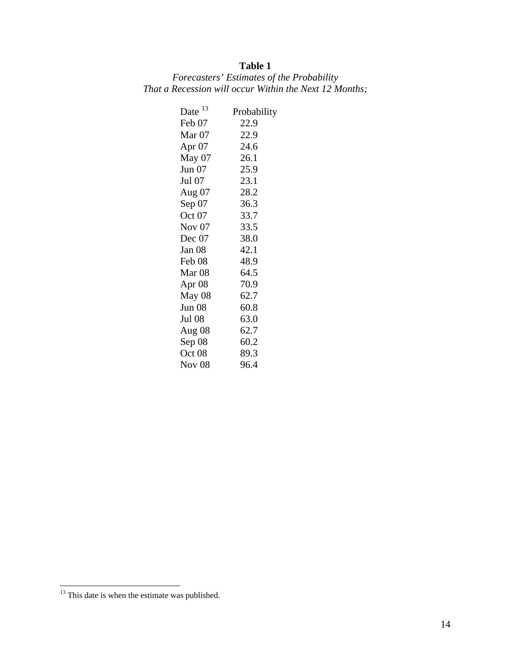# **Table 1**

|  | Forecasters' Estimates of the Probability |  |                                                        |
|--|-------------------------------------------|--|--------------------------------------------------------|
|  |                                           |  | That a Recession will occur Within the Next 12 Months; |

| Date 13           | Probability |
|-------------------|-------------|
| Feb 07            | 22.9        |
| Mar <sub>07</sub> | 22.9        |
| Apr $07$          | 24.6        |
| May 07            | 26.1        |
| Jun $07$          | 25.9        |
| Jul 07            | 23.1        |
| Aug 07            | 28.2        |
| Sep 07            | 36.3        |
| Oct 07            | 33.7        |
| Nov $07$          | 33.5        |
| Dec $07$          | 38.0        |
| Jan 08            | 42.1        |
| Feb 08            | 48.9        |
| Mar <sub>08</sub> | 64.5        |
| Apr $08$          | 70.9        |
| May 08            | 62.7        |
| <b>Jun 08</b>     | 60.8        |
| Jul 08            | 63.0        |
| Aug 08            | 62.7        |
| Sep 08            | 60.2        |
| Oct 08            | 89.3        |
| <b>Nov 08</b>     | 96.4        |

 $\overline{a}$ 

 $13$  This date is when the estimate was published.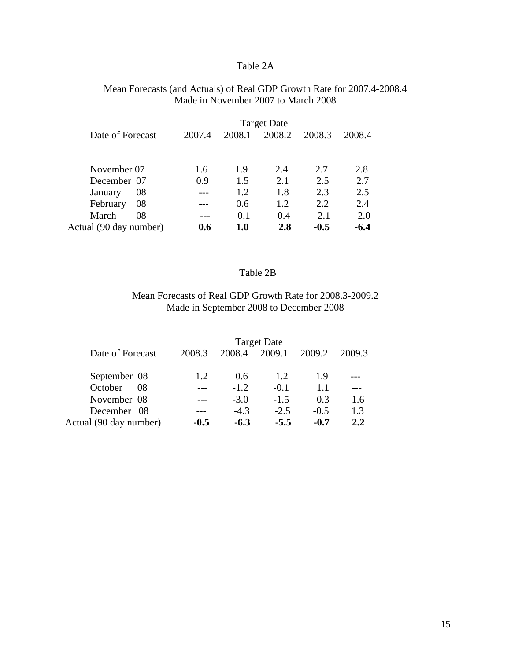## Table 2A

## Mean Forecasts (and Actuals) of Real GDP Growth Rate for 2007.4-2008.4 Made in November 2007 to March 2008

| Date of Forecast       | 2007.4 | 2008.1      | 2008.2 | 2008.3 | 2008.4 |
|------------------------|--------|-------------|--------|--------|--------|
|                        |        |             |        |        |        |
|                        |        |             |        |        |        |
| November 07            | 1.6    | 1.9         | 2.4    | 2.7    | 2.8    |
| December 07            | 0.9    | 1.5         | 2.1    | 2.5    | 2.7    |
| 08<br>January          |        | 1.2         | 1.8    | 2.3    | 2.5    |
| February<br>08         |        | 0.6         | 1.2    | 2.2    | 2.4    |
| March<br>08            |        | 0.1         | 0.4    | 2.1    | 2.0    |
| Actual (90 day number) | 0.6    | ${\bf 1.0}$ | 2.8    | $-0.5$ | $-6.4$ |

## Table 2B

## Mean Forecasts of Real GDP Growth Rate for 2008.3-2009.2 Made in September 2008 to December 2008

|                        |        |        | <b>Target Date</b> |        |        |
|------------------------|--------|--------|--------------------|--------|--------|
| Date of Forecast       | 2008.3 | 2008.4 | 2009.1             | 2009.2 | 2009.3 |
|                        |        |        |                    |        |        |
| September 08           | 1.2.   | 0.6    | 1.2.               | 1.9    |        |
| October<br>08          |        | $-1.2$ | $-0.1$             | 1.1    |        |
| November 08            |        | $-3.0$ | $-1.5$             | 0.3    | 1.6    |
| December 08            |        | $-4.3$ | $-2.5$             | $-0.5$ | 1.3    |
| Actual (90 day number) | $-0.5$ | $-6.3$ | $-5.5$             | $-0.7$ | 2.2    |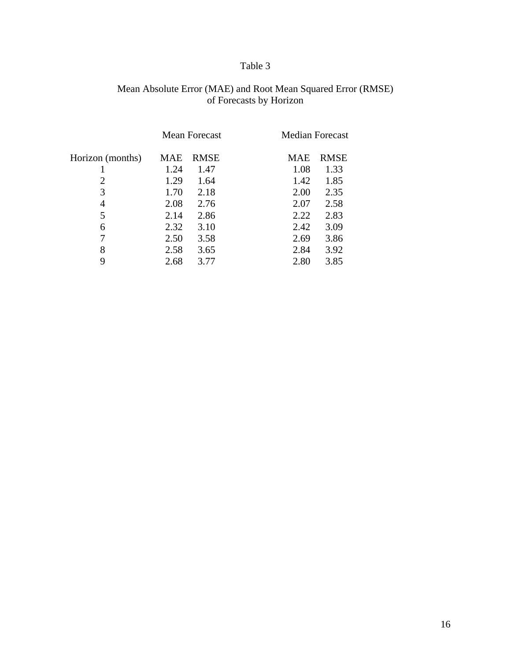# Table 3

## Mean Absolute Error (MAE) and Root Mean Squared Error (RMSE) of Forecasts by Horizon

|                  | Mean Forecast |             |            | <b>Median Forecast</b> |
|------------------|---------------|-------------|------------|------------------------|
| Horizon (months) | <b>MAE</b>    | <b>RMSE</b> | <b>MAE</b> | <b>RMSE</b>            |
|                  | 1.24          | 1.47        | 1.08       | 1.33                   |
| 2                | 1.29          | 1.64        | 1.42       | 1.85                   |
| 3                | 1.70          | 2.18        | 2.00       | 2.35                   |
| 4                | 2.08          | 2.76        | 2.07       | 2.58                   |
| 5                | 2.14          | 2.86        | 2.22       | 2.83                   |
| 6                | 2.32          | 3.10        | 2.42       | 3.09                   |
| 7                | 2.50          | 3.58        | 2.69       | 3.86                   |
| 8                | 2.58          | 3.65        | 2.84       | 3.92                   |
| 9                | 2.68          | 3.77        | 2.80       | 3.85                   |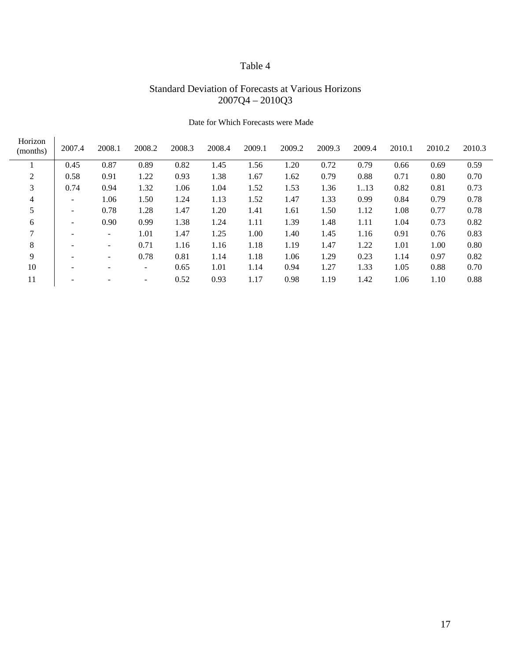# Table 4

# Standard Deviation of Forecasts at Various Horizons 2007Q4 – 2010Q3

| Horizon<br>(months) | 2007.4                   | 2008.1                   | 2008.2                       | 2008.3 | 2008.4 | 2009.1 | 2009.2 | 2009.3 | 2009.4 | 2010.1 | 2010.2 | 2010.3 |
|---------------------|--------------------------|--------------------------|------------------------------|--------|--------|--------|--------|--------|--------|--------|--------|--------|
|                     | 0.45                     | 0.87                     | 0.89                         | 0.82   | 1.45   | 1.56   | 1.20   | 0.72   | 0.79   | 0.66   | 0.69   | 0.59   |
| $\overline{2}$      | 0.58                     | 0.91                     | 1.22                         | 0.93   | 1.38   | 1.67   | 1.62   | 0.79   | 0.88   | 0.71   | 0.80   | 0.70   |
| 3                   | 0.74                     | 0.94                     | 1.32                         | 1.06   | 1.04   | 1.52   | 1.53   | 1.36   | 113    | 0.82   | 0.81   | 0.73   |
| 4                   | $\overline{\phantom{0}}$ | 1.06                     | 1.50                         | 1.24   | 1.13   | 1.52   | 1.47   | 1.33   | 0.99   | 0.84   | 0.79   | 0.78   |
| 5                   | $\overline{\phantom{0}}$ | 0.78                     | 1.28                         | 1.47   | 1.20   | 1.41   | 1.61   | 1.50   | 1.12   | 1.08   | 0.77   | 0.78   |
| 6                   | $\qquad \qquad$          | 0.90                     | 0.99                         | 1.38   | 1.24   | 1.11   | 1.39   | 1.48   | 1.11   | 1.04   | 0.73   | 0.82   |
| 7                   |                          | $\overline{\phantom{a}}$ | 1.01                         | 1.47   | 1.25   | 1.00   | 1.40   | 1.45   | 1.16   | 0.91   | 0.76   | 0.83   |
| 8                   |                          | $\overline{\phantom{a}}$ | 0.71                         | 1.16   | 1.16   | 1.18   | 1.19   | 1.47   | 1.22   | 1.01   | 1.00   | 0.80   |
| 9                   |                          | $\overline{\phantom{a}}$ | 0.78                         | 0.81   | 1.14   | 1.18   | 1.06   | 1.29   | 0.23   | 1.14   | 0.97   | 0.82   |
| 10                  |                          | $\overline{\phantom{0}}$ | -                            | 0.65   | 1.01   | 1.14   | 0.94   | 1.27   | 1.33   | 1.05   | 0.88   | 0.70   |
| 11                  |                          |                          | $\qquad \qquad \blacksquare$ | 0.52   | 0.93   | 1.17   | 0.98   | 1.19   | 1.42   | 1.06   | 1.10   | 0.88   |

## Date for Which Forecasts were Made

 $\overline{\phantom{0}}$